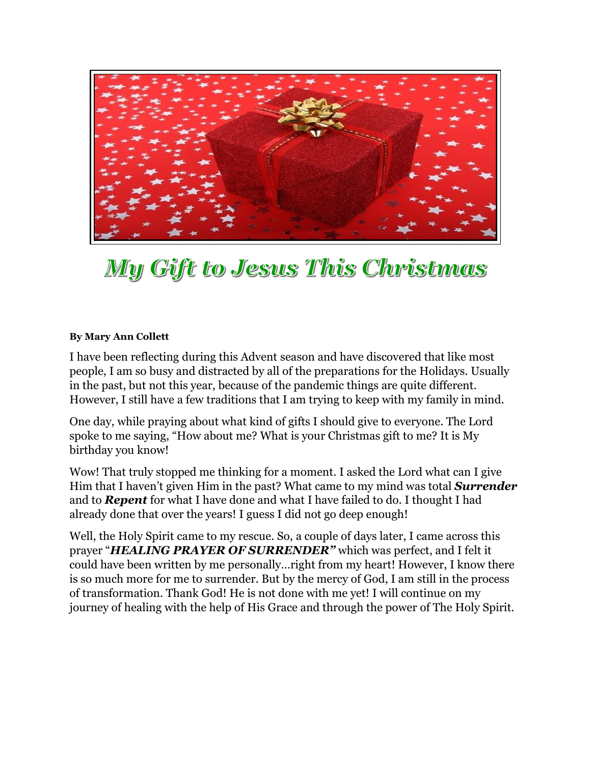

## My Gift to Jesus This Christmas

## **By Mary Ann Collett**

I have been reflecting during this Advent season and have discovered that like most people, I am so busy and distracted by all of the preparations for the Holidays. Usually in the past, but not this year, because of the pandemic things are quite different. However, I still have a few traditions that I am trying to keep with my family in mind.

One day, while praying about what kind of gifts I should give to everyone. The Lord spoke to me saying, "How about me? What is your Christmas gift to me? It is My birthday you know!

Wow! That truly stopped me thinking for a moment. I asked the Lord what can I give Him that I haven't given Him in the past? What came to my mind was total *Surrender* and to *Repent* for what I have done and what I have failed to do. I thought I had already done that over the years! I guess I did not go deep enough!

Well, the Holy Spirit came to my rescue. So, a couple of days later, I came across this prayer "*HEALING PRAYER OF SURRENDER"* which was perfect, and I felt it could have been written by me personally…right from my heart! However, I know there is so much more for me to surrender. But by the mercy of God, I am still in the process of transformation. Thank God! He is not done with me yet! I will continue on my journey of healing with the help of His Grace and through the power of The Holy Spirit.